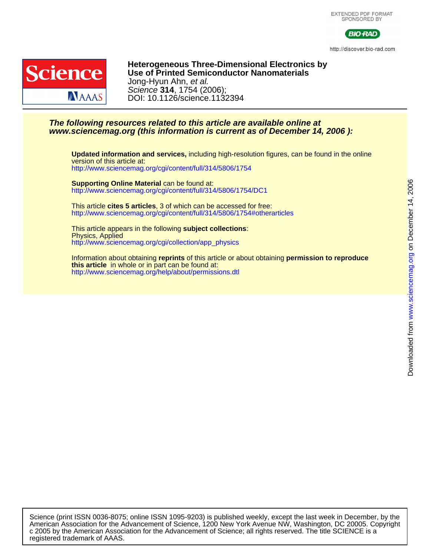

http://discover.bio-rad.com



DOI: 10.1126/science.1132394 Science **314**, 1754 (2006); Jong-Hyun Ahn, et al. **Use of Printed Semiconductor Nanomaterials Heterogeneous Three-Dimensional Electronics by**

### **www.sciencemag.org (this information is current as of December 14, 2006 ): The following resources related to this article are available online at**

<http://www.sciencemag.org/cgi/content/full/314/5806/1754> version of this article at: **Updated information and services,** including high-resolution figures, can be found in the online

<http://www.sciencemag.org/cgi/content/full/314/5806/1754/DC1> **Supporting Online Material** can be found at:

<http://www.sciencemag.org/cgi/content/full/314/5806/1754#otherarticles> This article **cites 5 articles**, 3 of which can be accessed for free:

[http://www.sciencemag.org/cgi/collection/app\\_physics](http://www.sciencemag.org/cgi/collection/app_physics) Physics, Applied This article appears in the following **subject collections**:

[http://www.sciencemag.org/help/about/permissions.dtl](http://www.sciencemag.org/misc/reprints.shtml) **this article** in whole or in part can be found at: Information about obtaining **reprints** of this article or about obtaining **permission to reproduce**

registered trademark of AAAS. c 2005 by the American Association for the Advancement of Science; all rights reserved. The title SCIENCE is a American Association for the Advancement of Science, 1200 New York Avenue NW, Washington, DC 20005. Copyright Science (print ISSN 0036-8075; online ISSN 1095-9203) is published weekly, except the last week in December, by the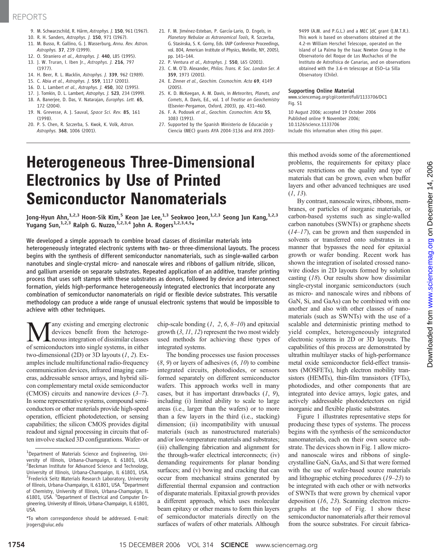## REPORTS

- 9. M. Schwarzschild, R. Härm, Astrophys. J. 150, 961 (1967).
- 10. R. H. Sanders, Astrophys. J. 150, 971 (1967).
- 11. M. Busso, R. Gallino, G. J. Wasserburg, Annu. Rev. Astron. Astrophys. 37, 239 (1999).
- 12. O. Straniero et al., Astrophys. J. 440, L85 (1995).
- 13. J. W. Truran, I. Iben Jr., Astrophys. J. 216, 797
- (1977).
- 14. H. Beer, R. L. Macklin, Astrophys. J. 339, 962 (1989).
- 15. C. Abia et al., Astrophys. J. 559, 1117 (2001).
- 16. D. L. Lambert et al., Astrophys. J. 450, 302 (1995).
- 17. J. Tomkin, D. L. Lambert, Astrophys. J. 523, 234 (1999).
- 18. A. Banerjee, D. Das, V. Natarajan, Europhys. Lett. 65, 172 (2004).
- 19. N. Grevesse, A. J. Sauval, Space Sci. Rev. 85, 161 (1998).
- 20. P. S. Chen, R. Szczerba, S. Kwok, K. Volk, Astron. Astrophys. 368, 1006 (2001).
- 21. F. M. Jiménez-Esteban, P. García-Lario, D. Engels, in Planetary Nebulae as Astronomical Tools, R. Szczerba, G. Stasinska, S. K. Gorny, Eds. (AIP Conference Proceedings, vol. 804, American Institute of Physics, Melville, NY, 2005), pp. 141–144.
- 22. P. Ventura et al., Astrophys. J. 550, L65 (2001).
- 23. C. M. O'D. Alexander, Philos. Trans. R. Soc. London Ser. A 359, 1973 (2001).
- 24. E. Zinner et al., Geochim. Cosmochim. Acta 69, 4149 (2005).
- 25. K. D. McKeegan, A. M. Davis, in Meteorites, Planets, and Comets, A. Davis, Ed., vol. 1 of Treatise on Geochemistry (Elsevier-Pergamon, Oxford, 2003), pp. 431–460.
- 26. F. A. Podosek et al., Geochim. Cosmochim. Acta 55, 1083 (1991).
- 27. Supported by the Spanish Ministerio de Educación y Ciencia (MEC) grants AYA 2004-3136 and AYA 2003-

9499 (A.M. and P.G.L.) and a MEC JdC grant (J.M.T.R.). This work is based on observations obtained at the 4.2-m William Herschel Telescope, operated on the island of La Palma by the Isaac Newton Group in the Observatorio del Roque de Los Muchachos of the Instituto de Astrofisica de Canarias, and on observations obtained with the 3.6-m telescope at ESO–La Silla Observatory (Chile).

#### Supporting Online Material

www.sciencemag.org/cgi/content/full/1133706/DC1 Fig. S1

10 August 2006; accepted 19 October 2006 Published online 9 November 2006; 10.1126/science.1133706 Include this information when citing this paper.

# Heterogeneous Three-Dimensional Electronics by Use of Printed Semiconductor Nanomaterials

Jong-Hyun Ahn, $^{1,2,3}$  Hoon-Sik Kim, $^5$  Keon Jae Lee, $^{1,3}$  Seokwoo Jeon, $^{1,2,3}$  Seong Jun Kang, $^{1,2,3}$ Yugang Sun,<sup>1,2,3</sup> Ralph G. Nuzzo,<sup>1,2,3,4</sup> John A. Rogers<sup>1,2,3,4,5</sup>\*

We developed a simple approach to combine broad classes of dissimilar materials into heterogeneously integrated electronic systems with two- or three-dimensional layouts. The process begins with the synthesis of different semiconductor nanomaterials, such as single-walled carbon nanotubes and single-crystal micro- and nanoscale wires and ribbons of gallium nitride, silicon, and gallium arsenide on separate substrates. Repeated application of an additive, transfer printing process that uses soft stamps with these substrates as donors, followed by device and interconnect formation, yields high-performance heterogeneously integrated electronics that incorporate any combination of semiconductor nanomaterials on rigid or flexible device substrates. This versatile methodology can produce a wide range of unusual electronic systems that would be impossible to achieve with other techniques.

**Many existing and emerging electronic**<br>devices benefit from the heteroge-<br>neous integration of dissimilar classes<br>of semiconductors into single systems in either devices benefit from the heterogeof semiconductors into single systems, in either two-dimensional (2D) or 3D layouts  $(1, 2)$ . Examples include multifunctional radio-frequency communication devices, infrared imaging cameras, addressable sensor arrays, and hybrid silicon complementary metal oxide semiconductor (CMOS) circuits and nanowire devices (3–7). In some representative systems, compound semiconductors or other materials provide high-speed operation, efficient photodetection, or sensing capabilities; the silicon CMOS provides digital readout and signal processing in circuits that often involve stacked 3D configurations. Wafer- or

chip-scale bonding  $(1, 2, 6, 8-10)$  and epitaxial growth  $(3, 11, 12)$  represent the two most widely used methods for achieving these types of integrated systems.

The bonding processes use fusion processes  $(8, 9)$  or layers of adhesives  $(6, 10)$  to combine integrated circuits, photodiodes, or sensors formed separately on different semiconductor wafers. This approach works well in many cases, but it has important drawbacks  $(1, 9)$ , including (i) limited ability to scale to large areas (i.e., larger than the wafers) or to more than a few layers in the third (i.e., stacking) dimension; (ii) incompatibility with unusual materials (such as nanostructured materials) and/or low-temperature materials and substrates; (iii) challenging fabrication and alignment for the through-wafer electrical interconnects; (iv) demanding requirements for planar bonding surfaces; and (v) bowing and cracking that can occur from mechanical strains generated by differential thermal expansion and contraction of disparate materials. Epitaxial growth provides a different approach, which uses molecular beam epitaxy or other means to form thin layers of semiconductor materials directly on the surfaces of wafers of other materials. Although

this method avoids some of the aforementioned problems, the requirements for epitaxy place severe restrictions on the quality and type of materials that can be grown, even when buffer layers and other advanced techniques are used  $(1, 13)$ .

By contrast, nanoscale wires, ribbons, membranes, or particles of inorganic materials, or carbon-based systems such as single-walled carbon nanotubes (SWNTs) or graphene sheets  $(14-17)$ , can be grown and then suspended in solvents or transferred onto substrates in a manner that bypasses the need for epitaxial growth or wafer bonding. Recent work has shown the integration of isolated crossed nanowire diodes in 2D layouts formed by solution casting (18). Our results show how dissimilar single-crystal inorganic semiconductors (such as micro- and nanoscale wires and ribbons of GaN, Si, and GaAs) can be combined with one another and also with other classes of nanomaterials (such as SWNTs) with the use of a scalable and deterministic printing method to yield complex, heterogeneously integrated electronic systems in 2D or 3D layouts. The capabilities of this process are demonstrated by ultrathin multilayer stacks of high-performance metal oxide semiconductor field-effect transistors (MOSFETs), high electron mobility transistors (HEMTs), thin-film transistors (TFTs), photodiodes, and other components that are integrated into device arrays, logic gates, and actively addressable photodetectors on rigid inorganic and flexible plastic substrates.

Figure 1 illustrates representative steps for producing these types of systems. The process begins with the synthesis of the semiconductor nanomaterials, each on their own source substrate. The devices shown in Fig. 1 allow microand nanoscale wires and ribbons of singlecrystalline GaN, GaAs, and Si that were formed with the use of wafer-based source materials and lithographic etching procedures (19–23) to be integrated with each other or with networks of SWNTs that were grown by chemical vapor deposition (16, 23). Scanning electron micrographs at the top of Fig. 1 show these semiconductor nanomaterials after their removal from the source substrates. For circuit fabrica-

<sup>&</sup>lt;sup>1</sup>Department of Materials Science and Engineering, University of Illinois, Urbana-Champaign, IL 61801, USA. <sup>2</sup> Beckman Institute for Advanced Science and Technology, University of Illinois, Urbana-Champaign, IL 61801, USA. <sup>3</sup> Frederick Seitz Materials Research Laboratory, University of Illinois, Urbana-Champaign, IL 61801, USA. <sup>4</sup>Department of Chemistry, University of Illinois, Urbana-Champaign, IL 61801, USA. <sup>5</sup>Department of Electrical and Computer Engineering, University of Illinois, Urbana-Champaign, IL 61801, USA.

<sup>\*</sup>To whom correspondence should be addressed. E-mail: jrogers@uiuc.edu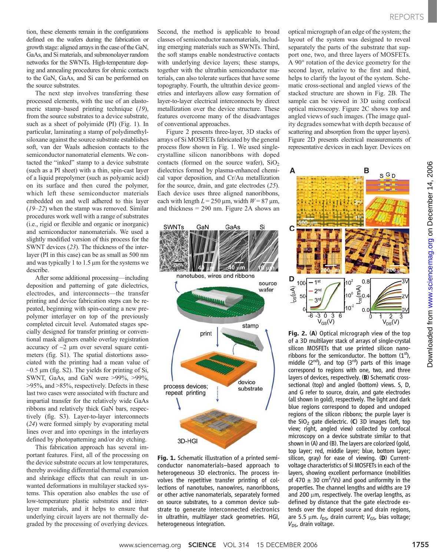tion, these elements remain in the configurations defined on the wafers during the fabrication or growth stage: aligned arrays in the case of the GaN, GaAs, and Si materials, and submonolayer random networks for the SWNTs. High-temperature doping and annealing procedures for ohmic contacts to the GaN, GaAs, and Si can be performed on the source substrates.

The next step involves transferring these processed elements, with the use of an elastomeric stamp–based printing technique (19), from the source substrates to a device substrate, such as a sheet of polyimide (PI) (Fig. 1). In particular, laminating a stamp of polydimethylsiloxane against the source substrate establishes soft, van der Waals adhesion contacts to the semiconductor nanomaterial elements. We contacted the "inked" stamp to a device substrate (such as a PI sheet) with a thin, spin-cast layer of a liquid prepolymer (such as polyamic acid) on its surface and then cured the polymer, which left these semiconductor materials embedded on and well adhered to this layer (19–22) when the stamp was removed. Similar procedures work well with a range of substrates (i.e., rigid or flexible and organic or inorganic) and semiconductor nanomaterials. We used a slightly modified version of this process for the SWNT devices (23). The thickness of the interlayer (PI in this case) can be as small as 500 nm and was typically 1 to  $1.5 \mu m$  for the systems we describe.

After some additional processing—including deposition and patterning of gate dielectrics, electrodes, and interconnects—the transfer printing and device fabrication steps can be repeated, beginning with spin-coating a new prepolymer interlayer on top of the previously completed circuit level. Automated stages specially designed for transfer printing or conventional mask aligners enable overlay registration accuracy of  $\sim$ 2 µm over several square centimeters (fig. S1). The spatial distortions associated with the printing had a mean value of  $\sim$ 0.5 µm (fig. S2). The yields for printing of Si, SWNT, GaAs, and GaN were >99%, >99%, >95%, and >85%, respectively. Defects in these last two cases were associated with fracture and impartial transfer for the relatively wide GaAs ribbons and relatively thick GaN bars, respectively (fig. S3). Layer-to-layer interconnects (24) were formed simply by evaporating metal lines over and into openings in the interlayers defined by photopatterning and/or dry etching.

This fabrication approach has several important features. First, all of the processing on the device substrate occurs at low temperatures, thereby avoiding differential thermal expansion and shrinkage effects that can result in unwanted deformations in multilayer stacked systems. This operation also enables the use of low-temperature plastic substrates and interlayer materials, and it helps to ensure that underlying circuit layers are not thermally degraded by the processing of overlying devices.

Second, the method is applicable to broad classes of semiconductor nanomaterials, including emerging materials such as SWNTs. Third, the soft stamps enable nondestructive contacts with underlying device layers; these stamps, together with the ultrathin semiconductor materials, can also tolerate surfaces that have some topography. Fourth, the ultrathin device geometries and interlayers allow easy formation of layer-to-layer electrical interconnects by direct metallization over the device structure. These features overcome many of the disadvantages of conventional approaches.

Figure 2 presents three-layer, 3D stacks of arrays of Si MOSFETs fabricated by the general process flow shown in Fig. 1. We used singlecrystalline silicon nanoribbons with doped contacts (formed on the source wafer),  $SiO<sub>2</sub>$ dielectrics formed by plasma-enhanced chemical vapor deposition, and Cr/Au metallization for the source, drain, and gate electrodes (25). Each device uses three aligned nanoribbons, each with length  $L = 250 \,\text{\mu m}$ , width  $W = 87 \,\text{\mu m}$ , and thickness = 290 nm. Figure 2A shows an





optical micrograph of an edge of the system; the layout of the system was designed to reveal separately the parts of the substrate that support one, two, and three layers of MOSFETs. A 90° rotation of the device geometry for the second layer, relative to the first and third, helps to clarify the layout of the system. Schematic cross-sectional and angled views of the stacked structure are shown in Fig. 2B. The sample can be viewed in 3D using confocal optical microscopy. Figure 2C shows top and angled views of such images. (The image quality degrades somewhat with depth because of scattering and absorption from the upper layers). Figure 2D presents electrical measurements of representative devices in each layer. Devices on



Fig. 2. (A) Optical micrograph view of the top of a 3D multilayer stack of arrays of single-crystal silicon MOSFETs that use printed silicon nanoribbons for the semiconductor. The bottom  $(1<sup>st</sup>)$ , middle  $(2^{nd})$ , and top  $(3^{rd})$  parts of this image correspond to regions with one, two, and three layers of devices, respectively. (B) Schematic crosssectional (top) and angled (bottom) views. S, D, and G refer to source, drain, and gate electrodes (all shown in gold), respectively. The light and dark blue regions correspond to doped and undoped regions of the silicon ribbons; the purple layer is the  $SiO<sub>2</sub>$  gate dielectric. (C) 3D images (left, top view; right, angled view) collected by confocal microscopy on a device substrate similar to that shown in (A) and (B). The layers are colorized (gold, top layer; red, middle layer; blue, bottom layer; silicon, gray) for ease of viewing. (D) Currentvoltage characteristics of Si MOSFETs in each of the layers, showing excellent performance (mobilities of 470  $\pm$  30 cm<sup>2</sup>/Vs) and good uniformity in the properties. The channel lengths and widths are 19 and 200  $\mu$ m, respectively. The overlap lengths, as defined by distance that the gate electrode extends over the doped source and drain regions, are 5.5  $\mu$ m.  $I_{DS}$ , drain current;  $V_{GS}$ , bias voltage;  $V_{DS}$ , drain voltage.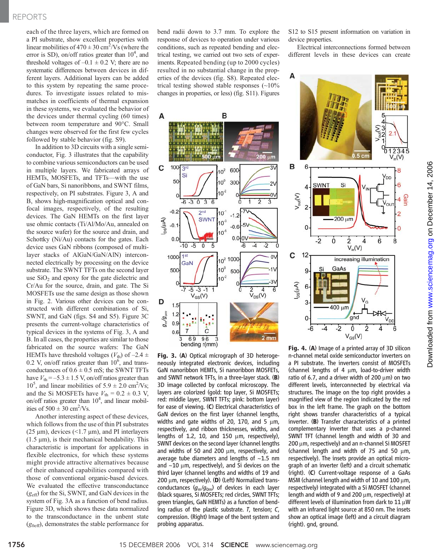### REPORTS

each of the three layers, which are formed on a PI substrate, show excellent properties with linear mobilities of  $470 \pm 30$  cm<sup>2</sup>/Vs (where the error is SD), on/off ratios greater than  $10^4$ , and threshold voltages of  $-0.1 \pm 0.2$  V; there are no systematic differences between devices in different layers. Additional layers can be added to this system by repeating the same procedures. To investigate issues related to mismatches in coefficients of thermal expansion in these systems, we evaluated the behavior of the devices under thermal cycling (60 times) between room temperature and 90°C. Small changes were observed for the first few cycles followed by stable behavior (fig. S9).

In addition to 3D circuits with a single semiconductor, Fig. 3 illustrates that the capability to combine various semiconductors can be used in multiple layers. We fabricated arrays of HEMTs, MOSFETs, and TFTs—with the use of GaN bars, Si nanoribbons, and SWNT films, respectively, on PI substrates. Figure 3, A and B, shows high-magnification optical and confocal images, respectively, of the resulting devices. The GaN HEMTs on the first layer use ohmic contacts (Ti/Al/Mo/Au, annealed on the source wafer) for the source and drain, and Schottky (Ni/Au) contacts for the gates. Each device uses GaN ribbons (composed of multilayer stacks of AlGaN/GaN/AlN) interconnected electrically by processing on the device substrate. The SWNT TFTs on the second layer use  $SiO<sub>2</sub>$  and epoxy for the gate dielectric and Cr/Au for the source, drain, and gate. The Si MOSFETs use the same design as those shown in Fig. 2. Various other devices can be constructed with different combinations of Si, SWNT, and GaN (figs. S4 and S5). Figure 3C presents the current-voltage characteristics of typical devices in the systems of Fig. 3, A and B. In all cases, the properties are similar to those fabricated on the source wafers: The GaN HEMTs have threshold voltages ( $V_{\text{th}}$ ) of -2.4  $\pm$ 0.2 V, on/off ratios greater than  $10^6$ , and transconductances of  $0.6 \pm 0.5$  mS; the SWNT TFTs have  $V_{\text{th}} = -5.3 \pm 1.5$  V, on/off ratios greater than  $10^5$ , and linear mobilities of  $5.9 \pm 2.0$  cm<sup>2</sup>/Vs; and the Si MOSFETs have  $V_{\text{th}} = 0.2 \pm 0.3$  V, on/off ratios greater than  $10^4$ , and linear mobilities of  $500 \pm 30$  cm<sup>2</sup>/Vs.

Another interesting aspect of these devices, which follows from the use of thin PI substrates (25  $\mu$ m), devices (<1.7  $\mu$ m), and PI interlayers  $(1.5 \mu m)$ , is their mechanical bendability. This characteristic is important for applications in flexible electronics, for which these systems might provide attractive alternatives because of their enhanced capabilities compared with those of conventional organic-based devices. We evaluated the effective transconductance  $(g<sub>eff</sub>)$  for the Si, SWNT, and GaN devices in the system of Fig. 3A as a function of bend radius. Figure 3D, which shows these data normalized to the transconductance in the unbent state  $(g<sub>0eff</sub>)$ , demonstrates the stable performance for

bend radii down to 3.7 mm. To explore the response of devices to operation under various conditions, such as repeated bending and electrical testing, we carried out two sets of experiments. Repeated bending (up to 2000 cycles) resulted in no substantial change in the properties of the devices (fig. S8). Repeated electrical testing showed stable responses (~10% changes in properties, or less) (fig. S11). Figures



Fig. 3. (A) Optical micrograph of 3D heterogeneously integrated electronic devices, including GaN nanoribbon HEMTs, Si nanoribbon MOSFETs, and SWNT network TFTs, in a three-layer stack. (B) 3D image collected by confocal microscopy. The layers are colorized (gold: top layer, Si MOSFETs; red: middle layer, SWNT TFTs; pink: bottom layer) for ease of viewing. (C) Electrical characteristics of GaN devices on the first layer (channel lengths, widths and gate widths of 20, 170, and 5  $\mu$ m, respectively, and ribbon thicknesses, widths, and lengths of 1.2, 10, and 150  $\mu$ m, respectively), SWNT devices on the second layer (channel lengths and widths of 50 and 200  $\mu$ m, respectively, and average tube diameters and lengths of  $~1.5$  nm and  $\sim$ 10  $\mu$ m, respectively), and Si devices on the third layer (channel lengths and widths of 19 and 200  $\mu$ m, respectively). (D) (Left) Normalized transconductances  $(g_m/g_{0m})$  of devices in each layer (black squares, Si MOSFETs; red circles, SWNT TFTs; green triangles, GaN HEMTs) as a function of bending radius of the plastic substrate. T, tension; C, compression. (Right) Image of the bent system and probing apparatus.

S12 to S15 present information on variation in device properties.

Electrical interconnections formed between different levels in these devices can create



Fig. 4. (A) Image of a printed array of 3D silicon n-channel metal oxide semiconductor inverters on a PI substrate. The inverters consist of MOSFETs (channel lengths of 4  $\mu$ m, load-to-driver width ratio of 6.7, and a driver width of 200  $\mu$ m) on two different levels, interconnected by electrical via structures. The image on the top right provides a magnified view of the region indicated by the red box in the left frame. The graph on the bottom right shows transfer characteristics of a typical inverter. (B) Transfer characteristics of a printed complementary inverter that uses a p-channel SWNT TFT (channel length and width of 30 and  $200 \mu$ m, respectively) and an n-channel Si MOSFET (channel length and width of  $75$  and  $50 \mu m$ , respectively). The insets provide an optical micrograph of an inverter (left) and a circuit schematic (right). (C) Current-voltage response of a GaAs MSM (channel length and width of 10 and 100  $\mu$ m, respectively) integrated with a Si MOSFET (channel length and width of 9 and 200  $\mu$ m, respectively) at different levels of illumination from dark to  $11 \mu W$ with an infrared light source at 850 nm. The insets show an optical image (left) and a circuit diagram (right). gnd, ground.